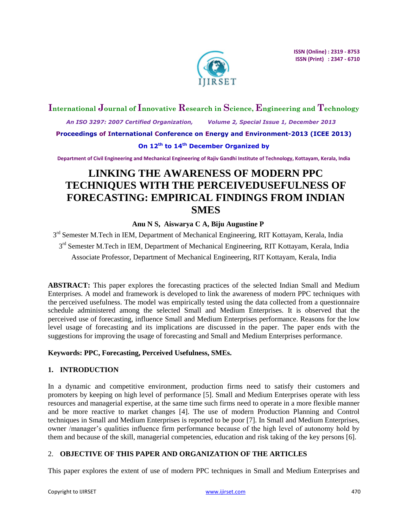

## **International Journal of Innovative Research in Science, Engineering and Technology**

 *An ISO 3297: 2007 Certified Organization, Volume 2, Special Issue 1, December 2013*

**Proceedings of International Conference on Energy and Environment-2013 (ICEE 2013)**

## **On 12th to 14th December Organized by**

**Department of Civil Engineering and Mechanical Engineering of Rajiv Gandhi Institute of Technology, Kottayam, Kerala, India**

# **LINKING THE AWARENESS OF MODERN PPC TECHNIQUES WITH THE PERCEIVEDUSEFULNESS OF FORECASTING: EMPIRICAL FINDINGS FROM INDIAN SMES**

## **Anu N S, Aiswarya C A, Biju Augustine P**

3<sup>rd</sup> Semester M.Tech in IEM, Department of Mechanical Engineering, RIT Kottayam, Kerala, India 3<sup>rd</sup> Semester M.Tech in IEM, Department of Mechanical Engineering, RIT Kottayam, Kerala, India Associate Professor, Department of Mechanical Engineering, RIT Kottayam, Kerala, India

**ABSTRACT:** This paper explores the forecasting practices of the selected Indian Small and Medium Enterprises. A model and framework is developed to link the awareness of modern PPC techniques with the perceived usefulness. The model was empirically tested using the data collected from a questionnaire schedule administered among the selected Small and Medium Enterprises. It is observed that the perceived use of forecasting, influence Small and Medium Enterprises performance. Reasons for the low level usage of forecasting and its implications are discussed in the paper. The paper ends with the suggestions for improving the usage of forecasting and Small and Medium Enterprises performance.

#### **Keywords: PPC, Forecasting, Perceived Usefulness, SMEs.**

#### **1. INTRODUCTION**

In a dynamic and competitive environment, production firms need to satisfy their customers and promoters by keeping on high level of performance [5]. Small and Medium Enterprises operate with less resources and managerial expertise, at the same time such firms need to operate in a more flexible manner and be more reactive to market changes [4]. The use of modern Production Planning and Control techniques in Small and Medium Enterprises is reported to be poor [7]. In Small and Medium Enterprises, owner /manager's qualities influence firm performance because of the high level of autonomy hold by them and because of the skill, managerial competencies, education and risk taking of the key persons [6].

## 2. **OBJECTIVE OF THIS PAPER AND ORGANIZATION OF THE ARTICLES**

This paper explores the extent of use of modern PPC techniques in Small and Medium Enterprises and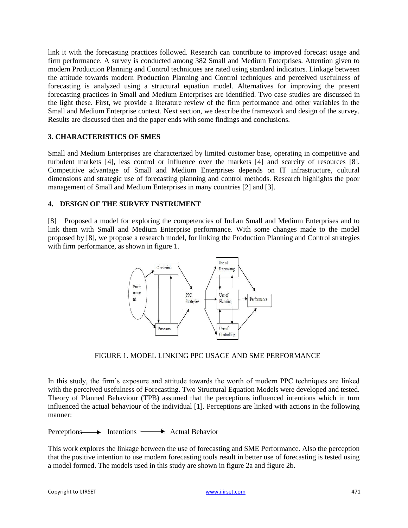link it with the forecasting practices followed. Research can contribute to improved forecast usage and firm performance. A survey is conducted among 382 Small and Medium Enterprises. Attention given to modern Production Planning and Control techniques are rated using standard indicators. Linkage between the attitude towards modern Production Planning and Control techniques and perceived usefulness of forecasting is analyzed using a structural equation model. Alternatives for improving the present forecasting practices in Small and Medium Enterprises are identified. Two case studies are discussed in the light these. First, we provide a literature review of the firm performance and other variables in the Small and Medium Enterprise context. Next section, we describe the framework and design of the survey. Results are discussed then and the paper ends with some findings and conclusions.

#### **3. CHARACTERISTICS OF SMES**

Small and Medium Enterprises are characterized by limited customer base, operating in competitive and turbulent markets [4], less control or influence over the markets [4] and scarcity of resources [8]. Competitive advantage of Small and Medium Enterprises depends on IT infrastructure, cultural dimensions and strategic use of forecasting planning and control methods. Research highlights the poor management of Small and Medium Enterprises in many countries [2] and [3].

#### **4. DESIGN OF THE SURVEY INSTRUMENT**

[8] Proposed a model for exploring the competencies of Indian Small and Medium Enterprises and to link them with Small and Medium Enterprise performance. With some changes made to the model proposed by [8], we propose a research model, for linking the Production Planning and Control strategies with firm performance, as shown in figure 1.



FIGURE 1. MODEL LINKING PPC USAGE AND SME PERFORMANCE

In this study, the firm's exposure and attitude towards the worth of modern PPC techniques are linked with the perceived usefulness of Forecasting. Two Structural Equation Models were developed and tested. Theory of Planned Behaviour (TPB) assumed that the perceptions influenced intentions which in turn influenced the actual behaviour of the individual [1]. Perceptions are linked with actions in the following manner:

 $Perceptions \longrightarrow Intentions \longrightarrow Actual Behavior$ 

This work explores the linkage between the use of forecasting and SME Performance. Also the perception that the positive intention to use modern forecasting tools result in better use of forecasting is tested using a model formed. The models used in this study are shown in figure 2a and figure 2b.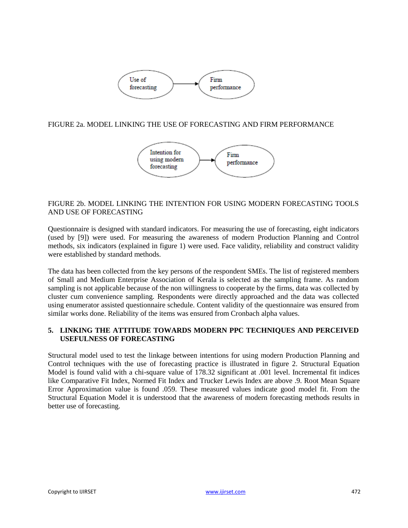

## FIGURE 2a. MODEL LINKING THE USE OF FORECASTING AND FIRM PERFORMANCE



## FIGURE 2b. MODEL LINKING THE INTENTION FOR USING MODERN FORECASTING TOOLS AND USE OF FORECASTING

Questionnaire is designed with standard indicators. For measuring the use of forecasting, eight indicators (used by [9]) were used. For measuring the awareness of modern Production Planning and Control methods, six indicators (explained in figure 1) were used. Face validity, reliability and construct validity were established by standard methods.

The data has been collected from the key persons of the respondent SMEs. The list of registered members of Small and Medium Enterprise Association of Kerala is selected as the sampling frame. As random sampling is not applicable because of the non willingness to cooperate by the firms, data was collected by cluster cum convenience sampling. Respondents were directly approached and the data was collected using enumerator assisted questionnaire schedule. Content validity of the questionnaire was ensured from similar works done. Reliability of the items was ensured from Cronbach alpha values.

#### **5. LINKING THE ATTITUDE TOWARDS MODERN PPC TECHNIQUES AND PERCEIVED USEFULNESS OF FORECASTING**

Structural model used to test the linkage between intentions for using modern Production Planning and Control techniques with the use of forecasting practice is illustrated in figure 2. Structural Equation Model is found valid with a chi-square value of 178.32 significant at .001 level. Incremental fit indices like Comparative Fit Index, Normed Fit Index and Trucker Lewis Index are above .9. Root Mean Square Error Approximation value is found .059. These measured values indicate good model fit. From the Structural Equation Model it is understood that the awareness of modern forecasting methods results in better use of forecasting.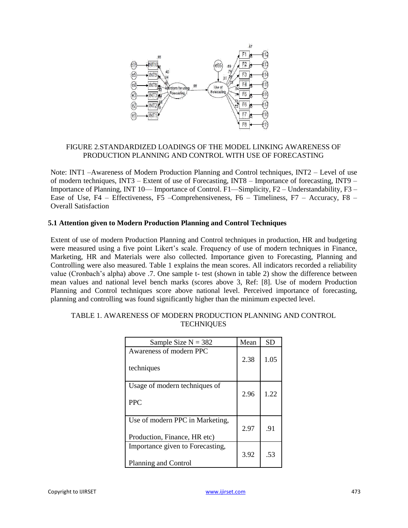

### FIGURE 2.STANDARDIZED LOADINGS OF THE MODEL LINKING AWARENESS OF PRODUCTION PLANNING AND CONTROL WITH USE OF FORECASTING

Note: INT1 –Awareness of Modern Production Planning and Control techniques, INT2 – Level of use of modern techniques, INT3 – Extent of use of Forecasting, INT8 – Importance of forecasting, INT9 – Importance of Planning, INT 10— Importance of Control. F1—Simplicity, F2 – Understandability, F3 – Ease of Use, F4 – Effectiveness, F5 –Comprehensiveness, F6 – Timeliness, F7 – Accuracy, F8 – Overall Satisfaction

#### **5.1 Attention given to Modern Production Planning and Control Techniques**

Extent of use of modern Production Planning and Control techniques in production, HR and budgeting were measured using a five point Likert's scale. Frequency of use of modern techniques in Finance, Marketing, HR and Materials were also collected. Importance given to Forecasting, Planning and Controlling were also measured. Table 1 explains the mean scores. All indicators recorded a reliability value (Cronbach's alpha) above .7. One sample t- test (shown in table 2) show the difference between mean values and national level bench marks (scores above 3, Ref: [8]. Use of modern Production Planning and Control techniques score above national level. Perceived importance of forecasting, planning and controlling was found significantly higher than the minimum expected level.

| Sample Size $N = 382$            | Mean | SD   |
|----------------------------------|------|------|
| Awareness of modern PPC          | 2.38 |      |
| techniques                       |      | 1.05 |
| Usage of modern techniques of    |      |      |
| <b>PPC</b>                       | 2.96 | 1.22 |
| Use of modern PPC in Marketing,  | 2.97 |      |
| Production, Finance, HR etc)     |      | .91  |
| Importance given to Forecasting, | 3.92 | -53  |
| Planning and Control             |      |      |

#### TABLE 1. AWARENESS OF MODERN PRODUCTION PLANNING AND CONTROL **TECHNIQUES**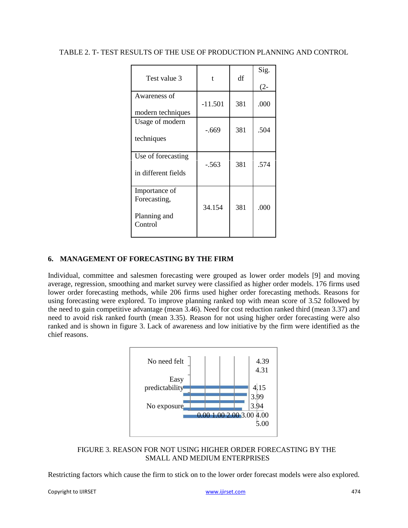#### TABLE 2. T- TEST RESULTS OF THE USE OF PRODUCTION PLANNING AND CONTROL

| Test value 3                                             | t         | df  | Sig.<br>$(2 -$ |
|----------------------------------------------------------|-----------|-----|----------------|
| Awareness of<br>modern techniques                        | $-11.501$ | 381 | .000           |
| Usage of modern<br>techniques                            | $-.669$   | 381 | .504           |
| Use of forecasting<br>in different fields                | -.563     | 381 | .574           |
| Importance of<br>Forecasting,<br>Planning and<br>Control | 34.154    | 381 | .000           |

## **6. MANAGEMENT OF FORECASTING BY THE FIRM**

Individual, committee and salesmen forecasting were grouped as lower order models [9] and moving average, regression, smoothing and market survey were classified as higher order models. 176 firms used lower order forecasting methods, while 206 firms used higher order forecasting methods. Reasons for using forecasting were explored. To improve planning ranked top with mean score of 3.52 followed by the need to gain competitive advantage (mean 3.46). Need for cost reduction ranked third (mean 3.37) and need to avoid risk ranked fourth (mean 3.35). Reason for not using higher order forecasting were also ranked and is shown in figure 3. Lack of awareness and low initiative by the firm were identified as the chief reasons.



## FIGURE 3. REASON FOR NOT USING HIGHER ORDER FORECASTING BY THE SMALL AND MEDIUM ENTERPRISES

Restricting factors which cause the firm to stick on to the lower order forecast models were also explored.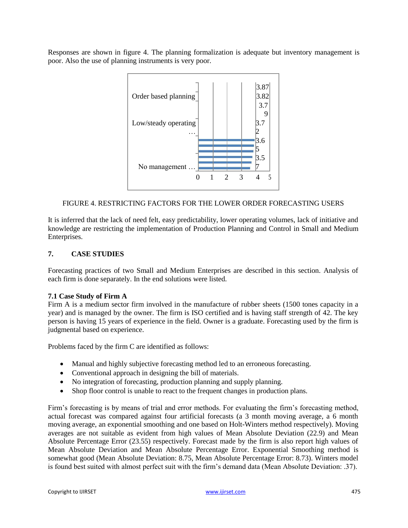Responses are shown in figure 4. The planning formalization is adequate but inventory management is poor. Also the use of planning instruments is very poor.



## FIGURE 4. RESTRICTING FACTORS FOR THE LOWER ORDER FORECASTING USERS

It is inferred that the lack of need felt, easy predictability, lower operating volumes, lack of initiative and knowledge are restricting the implementation of Production Planning and Control in Small and Medium Enterprises.

## **7. CASE STUDIES**

Forecasting practices of two Small and Medium Enterprises are described in this section. Analysis of each firm is done separately. In the end solutions were listed.

#### **7.1 Case Study of Firm A**

Firm A is a medium sector firm involved in the manufacture of rubber sheets (1500 tones capacity in a year) and is managed by the owner. The firm is ISO certified and is having staff strength of 42. The key person is having 15 years of experience in the field. Owner is a graduate. Forecasting used by the firm is judgmental based on experience.

Problems faced by the firm C are identified as follows:

- Manual and highly subjective forecasting method led to an erroneous forecasting.
- Conventional approach in designing the bill of materials.
- No integration of forecasting, production planning and supply planning.
- Shop floor control is unable to react to the frequent changes in production plans.

Firm's forecasting is by means of trial and error methods. For evaluating the firm's forecasting method, actual forecast was compared against four artificial forecasts (a 3 month moving average, a 6 month moving average, an exponential smoothing and one based on Holt-Winters method respectively). Moving averages are not suitable as evident from high values of Mean Absolute Deviation (22.9) and Mean Absolute Percentage Error (23.55) respectively. Forecast made by the firm is also report high values of Mean Absolute Deviation and Mean Absolute Percentage Error. Exponential Smoothing method is somewhat good (Mean Absolute Deviation: 8.75, Mean Absolute Percentage Error: 8.73). Winters model is found best suited with almost perfect suit with the firm's demand data (Mean Absolute Deviation: .37).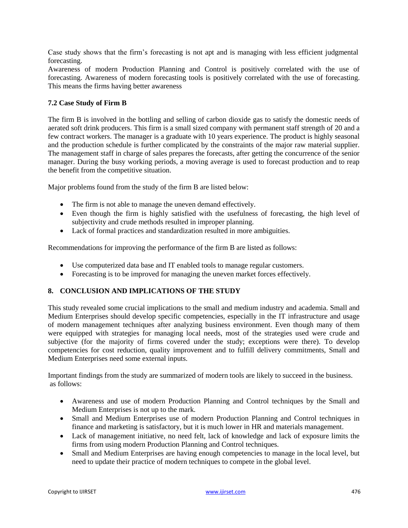Case study shows that the firm's forecasting is not apt and is managing with less efficient judgmental forecasting.

Awareness of modern Production Planning and Control is positively correlated with the use of forecasting. Awareness of modern forecasting tools is positively correlated with the use of forecasting. This means the firms having better awareness

## **7.2 Case Study of Firm B**

The firm B is involved in the bottling and selling of carbon dioxide gas to satisfy the domestic needs of aerated soft drink producers. This firm is a small sized company with permanent staff strength of 20 and a few contract workers. The manager is a graduate with 10 years experience. The product is highly seasonal and the production schedule is further complicated by the constraints of the major raw material supplier. The management staff in charge of sales prepares the forecasts, after getting the concurrence of the senior manager. During the busy working periods, a moving average is used to forecast production and to reap the benefit from the competitive situation.

Major problems found from the study of the firm B are listed below:

- The firm is not able to manage the uneven demand effectively.
- Even though the firm is highly satisfied with the usefulness of forecasting, the high level of subjectivity and crude methods resulted in improper planning.
- Lack of formal practices and standardization resulted in more ambiguities.

Recommendations for improving the performance of the firm B are listed as follows:

- Use computerized data base and IT enabled tools to manage regular customers.
- Forecasting is to be improved for managing the uneven market forces effectively.

## **8. CONCLUSION AND IMPLICATIONS OF THE STUDY**

This study revealed some crucial implications to the small and medium industry and academia. Small and Medium Enterprises should develop specific competencies, especially in the IT infrastructure and usage of modern management techniques after analyzing business environment. Even though many of them were equipped with strategies for managing local needs, most of the strategies used were crude and subjective (for the majority of firms covered under the study; exceptions were there). To develop competencies for cost reduction, quality improvement and to fulfill delivery commitments, Small and Medium Enterprises need some external inputs.

Important findings from the study are summarized of modern tools are likely to succeed in the business. as follows:

- Awareness and use of modern Production Planning and Control techniques by the Small and Medium Enterprises is not up to the mark.
- Small and Medium Enterprises use of modern Production Planning and Control techniques in finance and marketing is satisfactory, but it is much lower in HR and materials management.
- Lack of management initiative, no need felt, lack of knowledge and lack of exposure limits the firms from using modern Production Planning and Control techniques.
- Small and Medium Enterprises are having enough competencies to manage in the local level, but need to update their practice of modern techniques to compete in the global level.